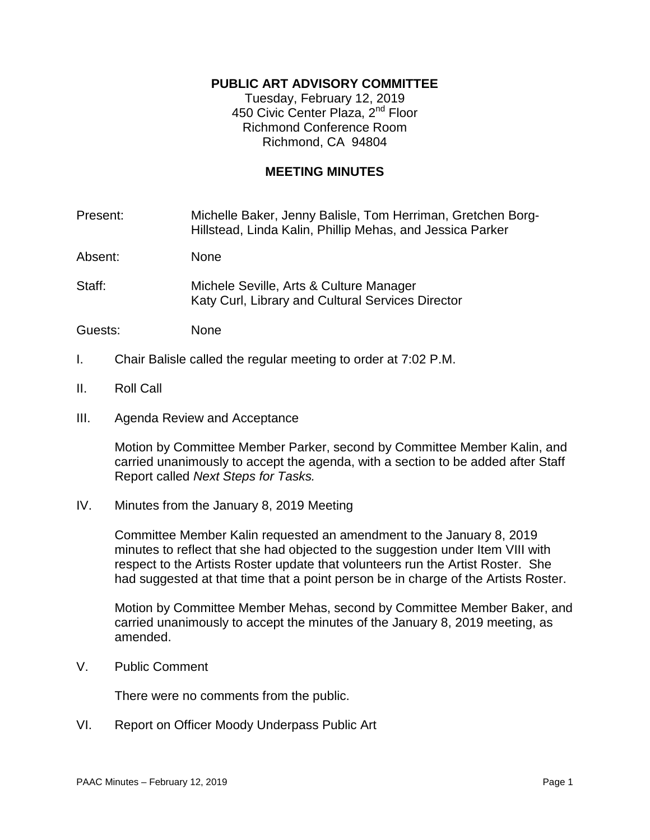# **PUBLIC ART ADVISORY COMMITTEE**

Tuesday, February 12, 2019 450 Civic Center Plaza, 2<sup>nd</sup> Floor Richmond Conference Room Richmond, CA 94804

# **MEETING MINUTES**

Present: Michelle Baker, Jenny Balisle, Tom Herriman, Gretchen Borg-Hillstead, Linda Kalin, Phillip Mehas, and Jessica Parker

Absent: None

Staff: Michele Seville, Arts & Culture Manager Katy Curl, Library and Cultural Services Director

Guests: None

- I. Chair Balisle called the regular meeting to order at 7:02 P.M.
- II. Roll Call
- III. Agenda Review and Acceptance

Motion by Committee Member Parker, second by Committee Member Kalin, and carried unanimously to accept the agenda, with a section to be added after Staff Report called *Next Steps for Tasks.*

IV. Minutes from the January 8, 2019 Meeting

Committee Member Kalin requested an amendment to the January 8, 2019 minutes to reflect that she had objected to the suggestion under Item VIII with respect to the Artists Roster update that volunteers run the Artist Roster. She had suggested at that time that a point person be in charge of the Artists Roster.

Motion by Committee Member Mehas, second by Committee Member Baker, and carried unanimously to accept the minutes of the January 8, 2019 meeting, as amended.

V. Public Comment

There were no comments from the public.

VI. Report on Officer Moody Underpass Public Art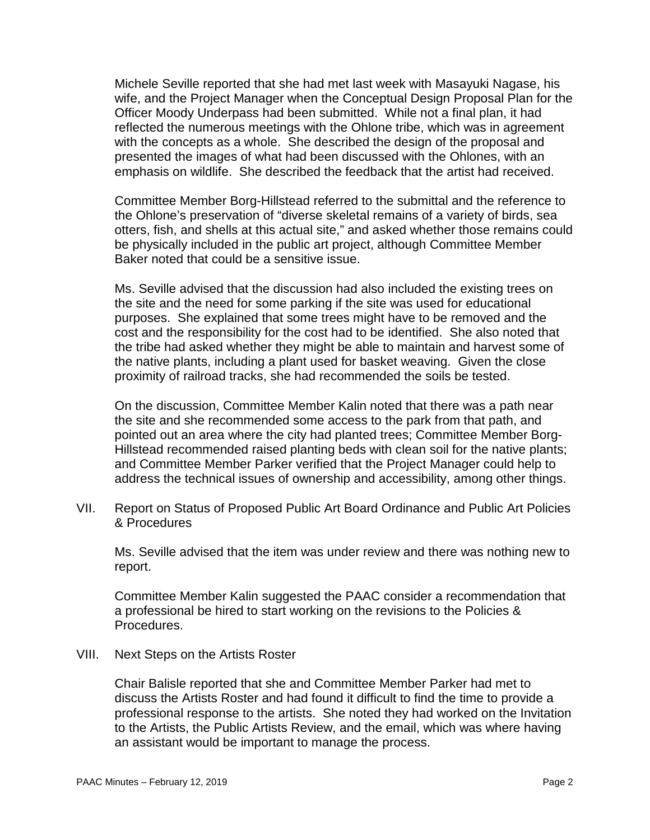Michele Seville reported that she had met last week with Masayuki Nagase, his wife, and the Project Manager when the Conceptual Design Proposal Plan for the Officer Moody Underpass had been submitted. While not a final plan, it had reflected the numerous meetings with the Ohlone tribe, which was in agreement with the concepts as a whole. She described the design of the proposal and presented the images of what had been discussed with the Ohlones, with an emphasis on wildlife. She described the feedback that the artist had received.

Committee Member Borg-Hillstead referred to the submittal and the reference to the Ohlone's preservation of "diverse skeletal remains of a variety of birds, sea otters, fish, and shells at this actual site," and asked whether those remains could be physically included in the public art project, although Committee Member Baker noted that could be a sensitive issue.

Ms. Seville advised that the discussion had also included the existing trees on the site and the need for some parking if the site was used for educational purposes. She explained that some trees might have to be removed and the cost and the responsibility for the cost had to be identified. She also noted that the tribe had asked whether they might be able to maintain and harvest some of the native plants, including a plant used for basket weaving. Given the close proximity of railroad tracks, she had recommended the soils be tested.

On the discussion, Committee Member Kalin noted that there was a path near the site and she recommended some access to the park from that path, and pointed out an area where the city had planted trees; Committee Member Borg-Hillstead recommended raised planting beds with clean soil for the native plants; and Committee Member Parker verified that the Project Manager could help to address the technical issues of ownership and accessibility, among other things.

VII. Report on Status of Proposed Public Art Board Ordinance and Public Art Policies & Procedures

Ms. Seville advised that the item was under review and there was nothing new to report.

Committee Member Kalin suggested the PAAC consider a recommendation that a professional be hired to start working on the revisions to the Policies & Procedures.

VIII. Next Steps on the Artists Roster

Chair Balisle reported that she and Committee Member Parker had met to discuss the Artists Roster and had found it difficult to find the time to provide a professional response to the artists. She noted they had worked on the Invitation to the Artists, the Public Artists Review, and the email, which was where having an assistant would be important to manage the process.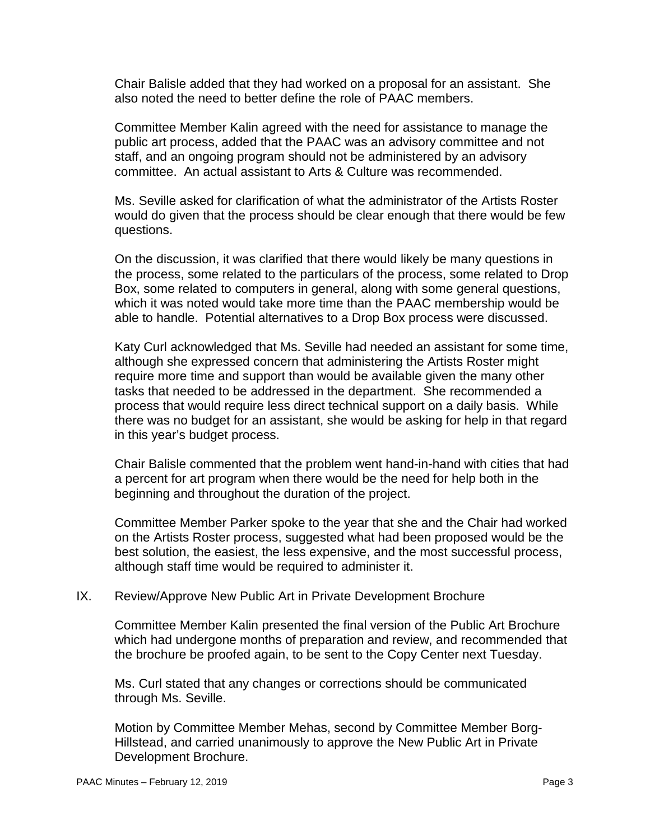Chair Balisle added that they had worked on a proposal for an assistant. She also noted the need to better define the role of PAAC members.

Committee Member Kalin agreed with the need for assistance to manage the public art process, added that the PAAC was an advisory committee and not staff, and an ongoing program should not be administered by an advisory committee. An actual assistant to Arts & Culture was recommended.

Ms. Seville asked for clarification of what the administrator of the Artists Roster would do given that the process should be clear enough that there would be few questions.

On the discussion, it was clarified that there would likely be many questions in the process, some related to the particulars of the process, some related to Drop Box, some related to computers in general, along with some general questions, which it was noted would take more time than the PAAC membership would be able to handle. Potential alternatives to a Drop Box process were discussed.

Katy Curl acknowledged that Ms. Seville had needed an assistant for some time, although she expressed concern that administering the Artists Roster might require more time and support than would be available given the many other tasks that needed to be addressed in the department. She recommended a process that would require less direct technical support on a daily basis. While there was no budget for an assistant, she would be asking for help in that regard in this year's budget process.

Chair Balisle commented that the problem went hand-in-hand with cities that had a percent for art program when there would be the need for help both in the beginning and throughout the duration of the project.

Committee Member Parker spoke to the year that she and the Chair had worked on the Artists Roster process, suggested what had been proposed would be the best solution, the easiest, the less expensive, and the most successful process, although staff time would be required to administer it.

# IX. Review/Approve New Public Art in Private Development Brochure

Committee Member Kalin presented the final version of the Public Art Brochure which had undergone months of preparation and review, and recommended that the brochure be proofed again, to be sent to the Copy Center next Tuesday.

Ms. Curl stated that any changes or corrections should be communicated through Ms. Seville.

Motion by Committee Member Mehas, second by Committee Member Borg-Hillstead, and carried unanimously to approve the New Public Art in Private Development Brochure.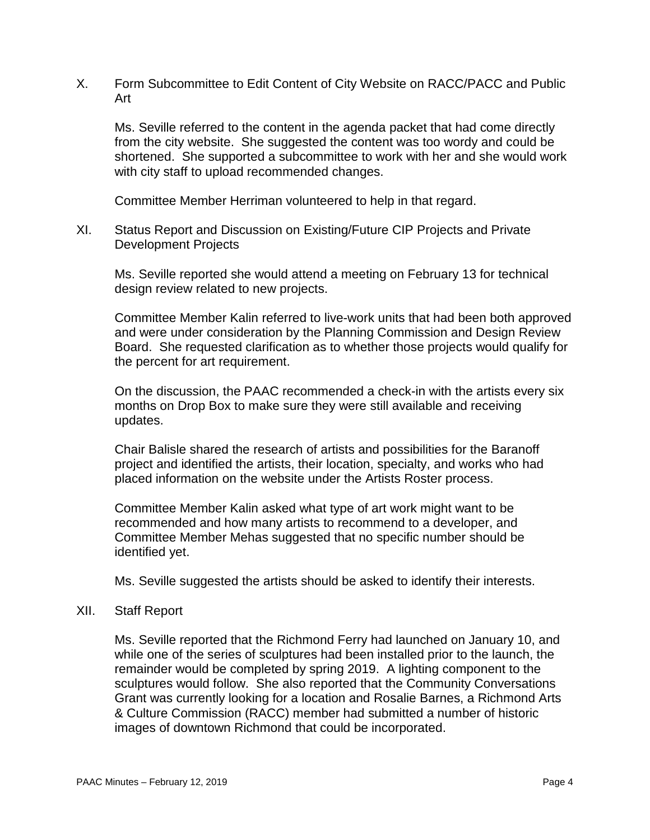X. Form Subcommittee to Edit Content of City Website on RACC/PACC and Public Art

Ms. Seville referred to the content in the agenda packet that had come directly from the city website. She suggested the content was too wordy and could be shortened. She supported a subcommittee to work with her and she would work with city staff to upload recommended changes.

Committee Member Herriman volunteered to help in that regard.

XI. Status Report and Discussion on Existing/Future CIP Projects and Private Development Projects

Ms. Seville reported she would attend a meeting on February 13 for technical design review related to new projects.

Committee Member Kalin referred to live-work units that had been both approved and were under consideration by the Planning Commission and Design Review Board. She requested clarification as to whether those projects would qualify for the percent for art requirement.

On the discussion, the PAAC recommended a check-in with the artists every six months on Drop Box to make sure they were still available and receiving updates.

Chair Balisle shared the research of artists and possibilities for the Baranoff project and identified the artists, their location, specialty, and works who had placed information on the website under the Artists Roster process.

Committee Member Kalin asked what type of art work might want to be recommended and how many artists to recommend to a developer, and Committee Member Mehas suggested that no specific number should be identified yet.

Ms. Seville suggested the artists should be asked to identify their interests.

### XII. Staff Report

Ms. Seville reported that the Richmond Ferry had launched on January 10, and while one of the series of sculptures had been installed prior to the launch, the remainder would be completed by spring 2019. A lighting component to the sculptures would follow. She also reported that the Community Conversations Grant was currently looking for a location and Rosalie Barnes, a Richmond Arts & Culture Commission (RACC) member had submitted a number of historic images of downtown Richmond that could be incorporated.